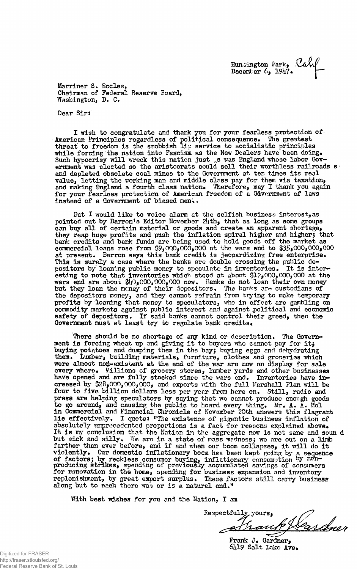Hunoington Park, **J**  December 6, *19k7\** 

Marriner S. Eccles, Chairman of Federal Reserve Board, Washington, D, C.

Dear Sirs

I wish to congratulate and thank you for your fearless protection of American Principles regardless of political consequence. The greatest threat to freedom is the snobbish lip service to socialistic principles while forcing the nation into Fascism as the New Dealers have been doing. Such hypocrisy will wreck this nation just is was England whose labor Government was elected so the aristocrats could sell their worthless railroads s and depleted obsolete coal mines to the Government at ten times its real value, letting the working man and middle class pay for them via taxation, and making England a fourth class nation. Therefore, may I thank you again for your fearless protection of American freedom of a Government of laws Instead of a Government of biased meni.

But I would like to voice alarm at the selfish business interest, as pointed out by Barron's Editor November  $2l_i$ th, that as long as some groups can buy all of certain material or goods and create an apparent shortage, they reap huge profits and push the inflation spiral higher and higher; that bank credits and bank funds are being used to hold goods off the market as commercial loans rose from  $$9,000,000,000$  at the wars end to  $$35,000,000,000$ at present. Barron says this bank credit is jeopardizing free enterprise. This is surely a case where the banks are double crossing the public depositors by loaning public money to speculate in inventories. It is interesting to note that inventories which stood at about 01?,000,000,000 at the wars end are about  $$10,000,000,000$  now. Banks do not loan their own money but they loan the money of their depositors. The banks are custodians of the depositors money, and they cannot refrain from trying to make temporary profits by loaning that money to speculators, who in effect are gambling on commodity markets against public interest and against political and economic safety of depositors. If said banks cannot control their greed, then the Government must at least try to regulate bank credits.

There should be no shortage of any kind or description. The Government is forcing wheat up and giving it to buyers who cannot pay for it; buying potatoes and dumping them in the bay; buying eggs and dehydrating them. Lumber, building materials, furniture, clothes and groceries which were almost non-existent at the end of the war are now on display for sale every where. Millions of grocery stores, lumber yards and other businesses have opened and are fully stocked since the wars end. Inventories have increased by  $$28,000,000,000$ , and exports with the full Marshall Plan will be four to five billion dollars less per year from here on. Still, radio and press are helping speculators by saying that wo cannot produce enough goods to go around, and causing the public to hoard every thing. Mr. A. A. Kol in Commercial and Financial Chronicle of November 20th answers this flagrant lie effectively. I quote: "The existence of gigantic business inflation of absolutely unprecedented proportions is a fact for reasons explained above. It is my conclusion that the Nation in the aggregate now is not same and soun d but sick and silly. We arc in a state of mass madness: we are out on a limb farther than ever before, and if and when our boom collapses, it will do it violently \* Our domestic inflationar y bocra has been kept going by a sequence of factors: by reckless consumer buying  $\frac{1}{2}$  inflationary consumption by producing strikes. spending of previously accumulated savings of consumers for renovation in the home, spending for business expansion and inventory replenishment, by great export surplus. These factors still carry business along but to each there was or is a natural end."

With best wishes for you and the Nation,  $I$  am

Respectfully yours,

Frank J. Gardner,  $6419$  Salt Lake Ave.